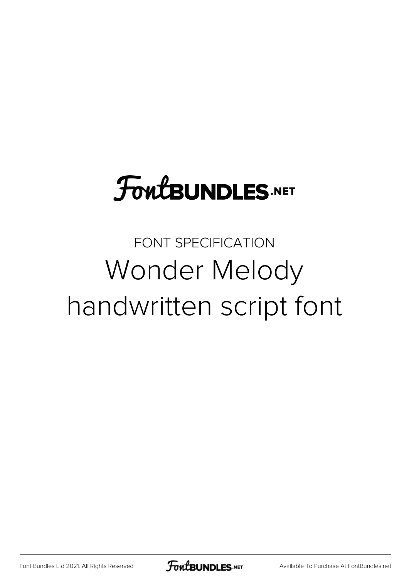# **FoutBUNDLES.NET**

#### FONT SPECIFICATION Wonder Melody handwritten script font

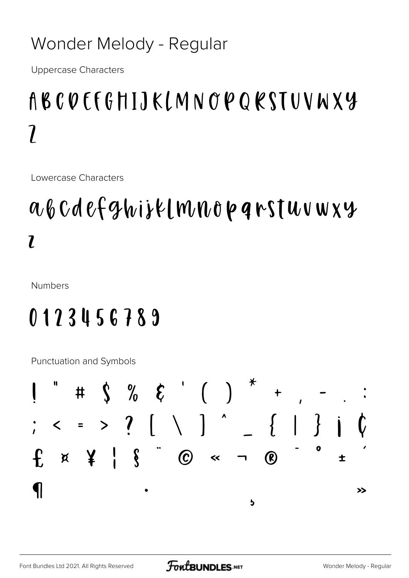#### Wonder Melody - Regular

**Uppercase Characters** 

## ABCOEFGHIJKLMNOPQRSTUVWXY  $\overline{\mathfrak{z}}$

Lowercase Characters

### abcdefghijk[mnopqrstuvwxy  $\overline{l}$

**Numbers** 

#### 0123456789

Punctuation and Symbols

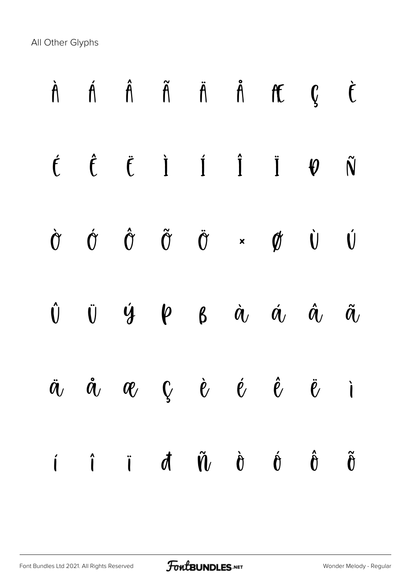All Other Glyphs

|  |  | $\dot{A}$ $\dot{A}$ $\ddot{A}$ $\ddot{A}$ $\ddot{A}$ $\ddot{A}$ $\ddot{C}$                                                                                                                                                |  |  |
|--|--|---------------------------------------------------------------------------------------------------------------------------------------------------------------------------------------------------------------------------|--|--|
|  |  | $\label{eq:6} \begin{array}{ccccccccccccc} \acute{f} & \hat{f} & \acute{f} & \acute{I} & \acute{I} & \acute{I} & \acute{I} & \acute{V} & \acute{N} \end{array}$                                                           |  |  |
|  |  | $\dot{\sigma} \quad \dot{\sigma} \quad \dot{\sigma} \quad \ddot{\sigma} \quad \ddot{\sigma} \quad \star \quad \phi \quad \dot{\upsilon} \quad \dot{\upsilon}$                                                             |  |  |
|  |  | $\begin{matrix} \hat{\mathbf{U}} & \hat{\mathbf{U}} & \hat{\mathbf{Y}} & \hat{\mathbf{Y}} & \hat{\mathbf{Y}} & \hat{\mathbf{X}} & \hat{\mathbf{X}} & \hat{\mathbf{X}} & \hat{\mathbf{X}} & \hat{\mathbf{X}} \end{matrix}$ |  |  |
|  |  | $\ddot{a}$ , $\dot{a}$ , $a$ , $c$ , $\dot{e}$ , $\dot{e}$ , $\ddot{e}$ , $\ddot{e}$ , $\ddot{e}$                                                                                                                         |  |  |
|  |  | $\hat{\mathbf{u}}$ $\hat{\mathbf{v}}$ $\hat{\mathbf{v}}$ $\hat{\mathbf{v}}$ $\hat{\mathbf{v}}$ $\hat{\mathbf{v}}$ $\hat{\mathbf{v}}$ $\hat{\mathbf{v}}$ $\hat{\mathbf{v}}$ $\hat{\mathbf{v}}$                             |  |  |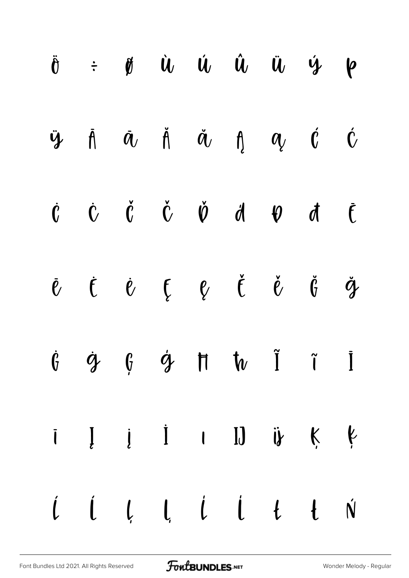|  |  |  | $\ddot{\theta}$ $\div$ $\dot{\theta}$ $\dot{u}$ $\dot{u}$ $\dot{u}$ $\ddot{u}$ $\dot{y}$ $\phi$                                               |  |
|--|--|--|-----------------------------------------------------------------------------------------------------------------------------------------------|--|
|  |  |  | $\ddot{y}$ $\ddot{A}$ $\ddot{a}$ $\ddot{A}$ $\ddot{a}$ $\ddot{b}$ $\ddot{a}$ $\ddot{c}$ $\ddot{c}$                                            |  |
|  |  |  | $\begin{array}{ccccccccccccccccc}\n\dot{C} & \dot{C} & \dot{C} & \dot{C} & \dot{U} & \dot{d} & \dot{\theta} & \dot{d} & \dot{c}\n\end{array}$ |  |
|  |  |  | $\check{\ell}$ $\acute{\ell}$ $\acute{\ell}$ $\acute{\ell}$ $\acute{\ell}$ $\acute{\ell}$ $\ddot{\acute{\ell}}$ $\ddot{\acute{\ell}}$         |  |
|  |  |  | $\dot{g} \quad \dot{g} \quad \dot{g} \quad \dot{g} \quad \hbox{H} \quad \dot{h} \quad \tilde{I} \quad \tilde{I}$                              |  |
|  |  |  | $i \quad I \quad i \quad 1 \quad 1 \quad 1 \quad 0 \quad 0 \quad k \quad k$                                                                   |  |
|  |  |  |                                                                                                                                               |  |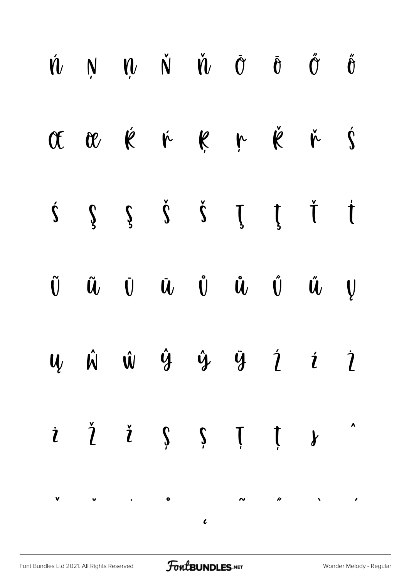|  |  |  | $\begin{array}{ccccccccccccc} \hat{\mathbf{W}} & \mathbf{N} & \mathbf{W} & \mathbf{N} & \hat{\mathbf{W}} & \hat{\mathbf{W}} & \hat{\mathbf{U}} & \hat{\mathbf{U}} & \hat{\mathbf{U}} & \hat{\mathbf{U}} & \hat{\mathbf{U}} & \hat{\mathbf{U}} & \hat{\mathbf{U}} & \hat{\mathbf{U}} & \hat{\mathbf{U}} & \hat{\mathbf{U}} & \hat{\mathbf{U}} & \hat{\mathbf{U}} & \hat{\mathbf{U}} & \hat{\mathbf{U}} & \hat{\mathbf{U}} & \hat{\mathbf{U}} & \hat{\mathbf{U}} & \hat{\mathbf{U}} &$                                                                                       |  |
|--|--|--|----------------------------------------------------------------------------------------------------------------------------------------------------------------------------------------------------------------------------------------------------------------------------------------------------------------------------------------------------------------------------------------------------------------------------------------------------------------------------------------------------------------------------------------------------------------------------|--|
|  |  |  | Œ Q K K K K K K K Ś                                                                                                                                                                                                                                                                                                                                                                                                                                                                                                                                                        |  |
|  |  |  | $\begin{array}{ccccccccccccc}\n\dot{\Sigma} & \dot{\Sigma} & \dot{\Sigma} & \dot{\Sigma} & \dot{\Sigma} & \dot{\Sigma} & \dot{\Sigma} & \dot{\Sigma} & \dot{\Sigma} & \dot{\Sigma} & \dot{\Sigma} & \dot{\Sigma} & \dot{\Sigma} & \dot{\Sigma} & \dot{\Sigma} & \dot{\Sigma} & \dot{\Sigma} & \dot{\Sigma} & \dot{\Sigma} & \dot{\Sigma} & \dot{\Sigma} & \dot{\Sigma} & \dot{\Sigma} & \dot{\Sigma} & \dot{\Sigma} & \dot{\Sigma} & \dot{\Sigma} & \dot{\Sigma} & \dot{\Sigma} & \dot{\Sigma} & \dot{\Sigma} & \dot{\Sigma} & \dot{\Sigma} & \dot{\Sigma} & \dot{\Sigma}$ |  |
|  |  |  | $\tilde{\mathbf{U}}\qquad \tilde{\mathbf{U}}\qquad \tilde{\mathbf{U}}\qquad \tilde{\mathbf{U}}\qquad \hat{\mathbf{U}}\qquad \hat{\mathbf{U}}\qquad \hat{\mathbf{U}}\qquad \hat{\mathbf{U}}\qquad \hat{\mathbf{U}}\qquad \hat{\mathbf{V}}$                                                                                                                                                                                                                                                                                                                                  |  |
|  |  |  | $\mathbf{u}$ $\hat{\mathbf{w}}$ $\hat{\mathbf{w}}$ $\hat{\mathbf{y}}$ $\hat{\mathbf{y}}$ $\hat{\mathbf{y}}$ $\hat{\mathbf{z}}$ $\hat{\mathbf{z}}$ $\hat{\mathbf{z}}$                                                                                                                                                                                                                                                                                                                                                                                                       |  |
|  |  |  | $i \t i \t j \t i \t m$                                                                                                                                                                                                                                                                                                                                                                                                                                                                                                                                                    |  |
|  |  |  |                                                                                                                                                                                                                                                                                                                                                                                                                                                                                                                                                                            |  |